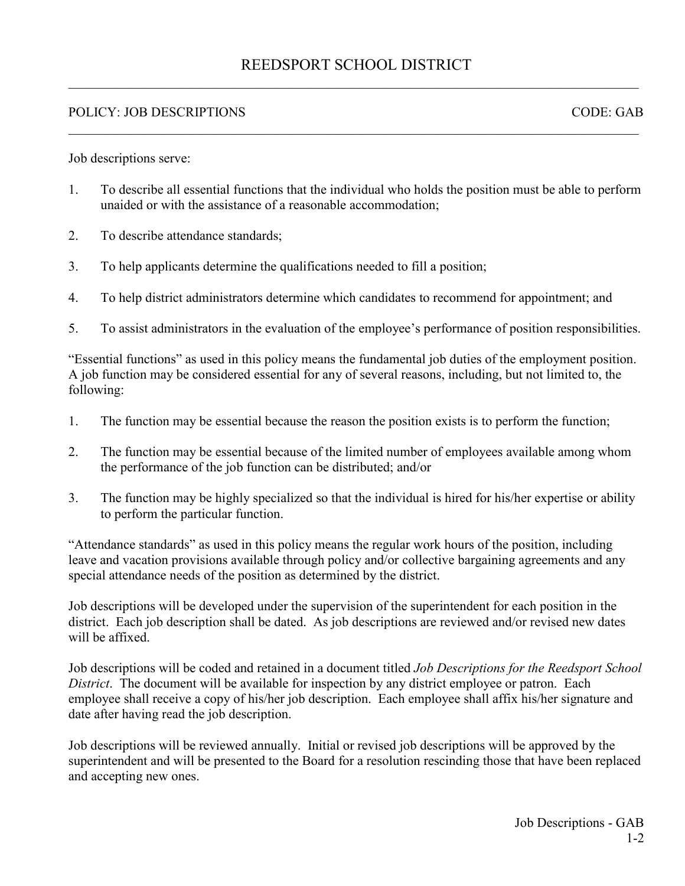## REEDSPORT SCHOOL DISTRICT  $\_$  , and the set of the set of the set of the set of the set of the set of the set of the set of the set of the set of the set of the set of the set of the set of the set of the set of the set of the set of the set of th

 $\_$  ,  $\_$  ,  $\_$  ,  $\_$  ,  $\_$  ,  $\_$  ,  $\_$  ,  $\_$  ,  $\_$  ,  $\_$  ,  $\_$  ,  $\_$  ,  $\_$  ,  $\_$  ,  $\_$  ,  $\_$  ,  $\_$  ,  $\_$  ,  $\_$  ,  $\_$  ,  $\_$  ,  $\_$  ,  $\_$  ,  $\_$  ,  $\_$  ,  $\_$  ,  $\_$  ,  $\_$  ,  $\_$  ,  $\_$  ,  $\_$  ,  $\_$  ,  $\_$  ,  $\_$  ,  $\_$  ,  $\_$  ,  $\_$  ,

## POLICY: JOB DESCRIPTIONS CODE: GAB

Job descriptions serve:

- 1. To describe all essential functions that the individual who holds the position must be able to perform unaided or with the assistance of a reasonable accommodation;
- 2. To describe attendance standards;
- 3. To help applicants determine the qualifications needed to fill a position;
- 4. To help district administrators determine which candidates to recommend for appointment; and
- 5. To assist administrators in the evaluation of the employee's performance of position responsibilities.

"Essential functions" as used in this policy means the fundamental job duties of the employment position. A job function may be considered essential for any of several reasons, including, but not limited to, the following:

- 1. The function may be essential because the reason the position exists is to perform the function;
- 2. The function may be essential because of the limited number of employees available among whom the performance of the job function can be distributed; and/or
- 3. The function may be highly specialized so that the individual is hired for his/her expertise or ability to perform the particular function.

"Attendance standards" as used in this policy means the regular work hours of the position, including leave and vacation provisions available through policy and/or collective bargaining agreements and any special attendance needs of the position as determined by the district.

Job descriptions will be developed under the supervision of the superintendent for each position in the district. Each job description shall be dated. As job descriptions are reviewed and/or revised new dates will be affixed.

Job descriptions will be coded and retained in a document titled *Job Descriptions for the Reedsport School District*. The document will be available for inspection by any district employee or patron. Each employee shall receive a copy of his/her job description. Each employee shall affix his/her signature and date after having read the job description.

Job descriptions will be reviewed annually. Initial or revised job descriptions will be approved by the superintendent and will be presented to the Board for a resolution rescinding those that have been replaced and accepting new ones.